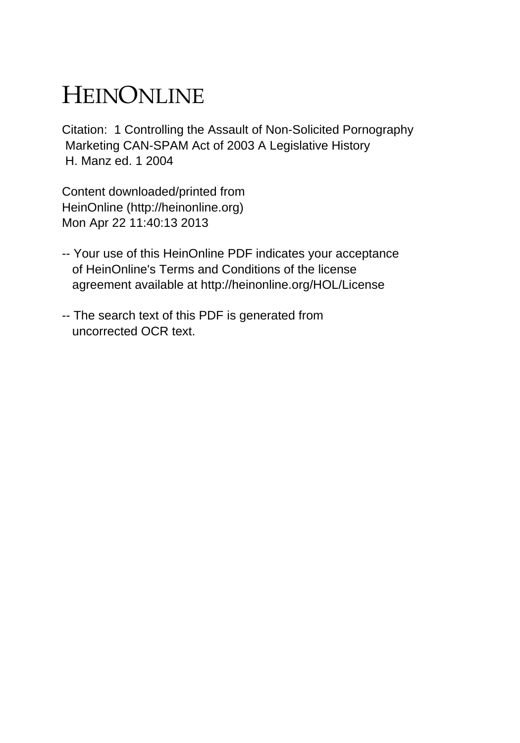# HEINONLINE

Citation: 1 Controlling the Assault of Non-Solicited Pornography Marketing CAN-SPAM Act of 2003 A Legislative History H. Manz ed. 1 2004

Content downloaded/printed from HeinOnline (http://heinonline.org) Mon Apr 22 11:40:13 2013

- -- Your use of this HeinOnline PDF indicates your acceptance of HeinOnline's Terms and Conditions of the license agreement available at http://heinonline.org/HOL/License
- -- The search text of this PDF is generated from uncorrected OCR text.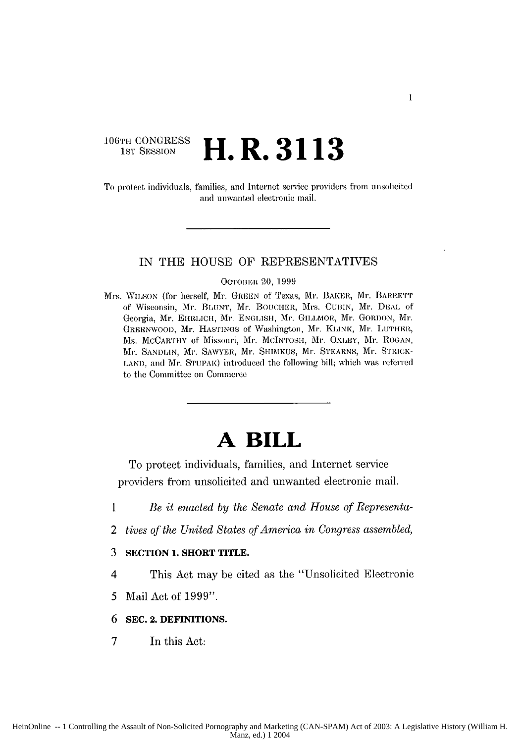106TH CONGRESS<br>1st Session

# **H.R. 3113**

To protect individuals, families, and Internet service providers from unsolicited and unwanted electronic mail.

# **IN** THE **HOUSE OF** REPRESENTATIVES

## OCTOBER 20, 1999

Mrs. WILSON (for herself, Mr. GREEN of Texas, Mr. BAKER, Mr. BARRETT of Wisconsin, Mr. **BhUNT,** Mr. **BOIJCiEI,** Mrs. CUI31N, Mr. *D1)EAI.* Of Georgia, Mr. EHRLICH, Mr. ENGLISH, Mr. GILLMOR, Mr. GORDON, Mr. GREENWOOD, Mr. HASTINGS of Washington, Mr. KLINK, Mr. LUTHER, Ms. McCARTHY of Missouri, Mr. McINTOSH, Mr. OXLEY, Mr. ROGAN, Mr. SANDLAN, Mr. SAWYER, Mr. SHIMKUS, Mr. STEARNS, Mr. STRICK-LAN), and Mr. STUPAK) introduced the following bill; which was referred to the Committee on Commerce

# **A BILL**

To protect individuals, families, and Internet service providers from unsolicited and unwanted electronic mail.

- *1 Be it enacted by the Senate and House of Representa-*
- 2 *tives of'the United States of America in Congress assembled,*

# **3 SECTION 1. SHORT TITLE.**

- 4 This Act may be cited as the "Unsolicited Electronic
- *5* Mail Act of **1999".**

# **6 SEC. 2. DEFINITIONS.**

**7** In this Act: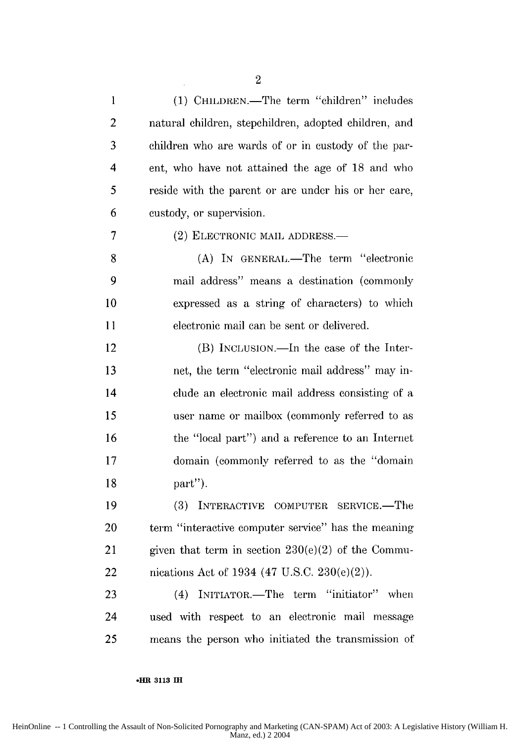| $\mathbf{1}$   | (1) CHILDREN.—The term "children" includes            |
|----------------|-------------------------------------------------------|
| $\overline{2}$ | natural children, stepchildren, adopted children, and |
| 3              | children who are wards of or in custody of the par-   |
| 4              | ent, who have not attained the age of 18 and who      |
| 5              | reside with the parent or are under his or her care,  |
| 6              | custody, or supervision.                              |
| 7              | (2) ELECTRONIC MAIL ADDRESS.—                         |
| 8              | (A) IN GENERAL.-The term "electronic                  |
| 9              | mail address" means a destination (commonly           |
| 10             | expressed as a string of characters) to which         |
| 11             | electronic mail can be sent or delivered.             |
| 12             | (B) INCLUSION.—In the case of the Inter-              |
| 13             | net, the term "electronic mail address" may in-       |
| 14             | clude an electronic mail address consisting of a      |
| 15             | user name or mailbox (commonly referred to as         |
| 16             | the "local part") and a reference to an Internet      |
| 17             | domain (commonly referred to as the "domain           |
| 18             | part").                                               |
| 19             | INTERACTIVE COMPUTER SERVICE.-The<br>(3)              |
| 20             | term "interactive computer service" has the meaning   |
| 21             | given that term in section $230(e)(2)$ of the Commu-  |
| 22             | nications Act of 1934 (47 U.S.C. 230(e)(2)).          |
| 23             | (4) INITIATOR.—The term "initiator" when              |
| 24             | used with respect to an electronic mail message       |
| 25             | means the person who initiated the transmission of    |

# **• HRt 3113 1H**

HeinOnline -- 1 Controlling the Assault of Non-Solicited Pornography and Marketing (CAN-SPAM) Act of 2003: A Legislative History (William H. Manz, ed.) 2 2004

 $\ddot{\phantom{a}}$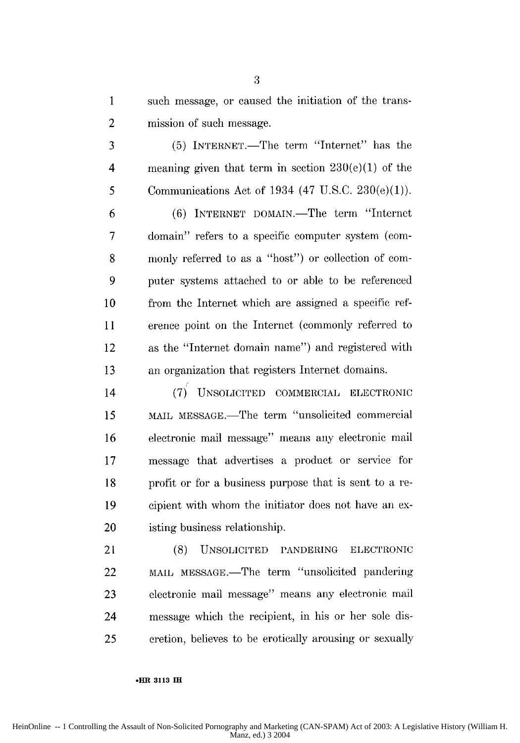**1** such message, or caused the initiation of the trans-2 mission of such message.

3 (5) INTERNET.—The term "Internet" has the 4 meaning given that term in section 230(e)(1) of the 5 Communications Act of 1934 (47 U.S.C. 230(e)(1)).

6 (6) INTERNET DOMAIN.-The term "Internet 7 domain" refers to a specific computer system (com-8 morly referred to as a "host") or collection of con-*9* puter systems attached to or able to be referenced 10 from the Internet which are assigned a specific ref-**S1I** erence point on the Internet (commonly referred to 12 as the "Internet domain name") and registered with 13 an organization that registers Internet domains.

14 (7) UNSOLICITED COMMERCIAL ELECTRONIC 15 MAIL MESSAGE.—The term "unsolicited commercial 16 electronic mail message" means any electronic mail 17 message that advertises a product or service for 18 profit or for a business purpose that is sent to a re-19 cipient with whom the initiator does not have an ex-20 isting business relationship.

21 (8) UNSOLICITED PANDERING ELECTRONIC 22 MAIL MESSAGE.—The term "unsolicited pandering 23 electronic mail message" means any electronic mail 24 message which the recipient, in his or her sole dis-25 cretion, believes to be erotically arousing or sexually

#### **HR 3113 IH**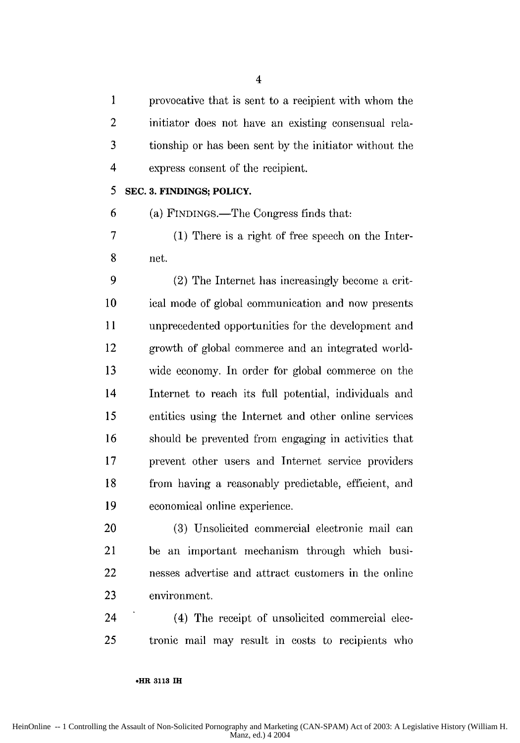1 provocative that is sent to a recipient with whom the 2 initiator does not have an existing consensual rela-3 tionship or has been sent by the initiator without the 4 express consent of the recipient.

# **5 SEC. 3. FINDINGS; POLICY.**

 $6$  (a) FINDINGS.—The Congress finds that:

7 (1) There is a right of free speech on the Inter-8 net.

9 (2) The Internet has increasingly become a crit-10 ical mode of global communication and now presents 11 unprecedented opportunities for the development and 12 growth of global commerce and an integrated world-13 wide economy. In order for global commerce on the 14 Internet to reach its full potential, individuals and *15* entities using the Internet and other online services 16 should be prevented from engaging in activities that 17 prevent other users and Internet service providers 18 from having a reasonably predictable, efficient, and 19 economical online experience.

20 (3) Unsolicited commercial electronic mail can 21 be an important mechanism through which busi-22 nesses advertise and attract customers in the online 23 environment.

24 (4) The receipt of unsolicited commercial elec-25 tronic mail may result in costs to recipients who

#### **.HR 3113 1H**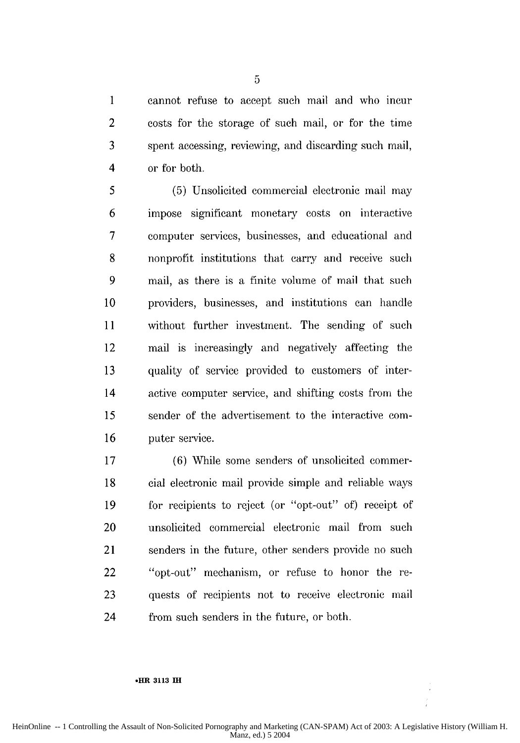1 cannot refuse to accept such mail and who incur 2 costs for the storage of such mail, or for the time 3 spent accessing, reviewing, and discarding such mail, 4 or for both.

5 (5) Unsolicited commercial electronic mail may 6 impose significant monetary costs on interactive 7 computer services, businesses, and educational and 8 nonprofit institutions that carry and receive such 9 mail, as there is a finite volume of mail that such 10 providers, businesses, and institutions can handle **11** without further investment. The sending of such 12 mail is increasingly and negatively affecting the 13 quality of service provided to customers of inter-14 active computer service, and shifting costs from the 15 sender of the advertisement to the interactive **com-**16 puter service.

17 (6) While some senders of unsolicited commer-18 cial electronic mail provide simple and reliable ways 19 for recipients to reject (or "opt-out" of) receipt of 20 unsolicited commercial electronic mail from such 21 senders in the future, other senders provide no such 22 "opt-out" mechanism, or refuse to honor the re-23 quests of recipients not to receive electronic mail 24 from such senders in the future, or both.

#### **\*HR 3113 IH**

5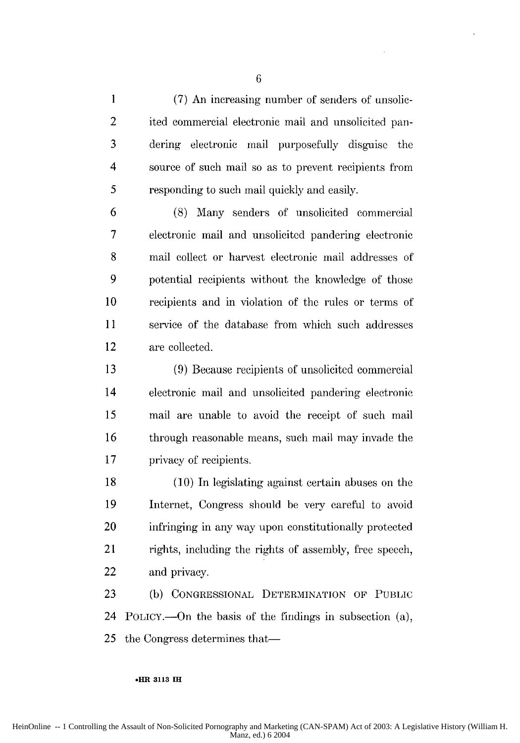1 (7) An increasing number of senders of unsolic-2 ited commercial electronic mail and unsolicited pan-3 dering electronic mail purposefully disguise the 4 source of such mail so as to prevent recipients from 5 responding to such mail quickly and easily.

6 (8) Many senders of unsolicited commercial 7 electronic mail and unsolicited pandering electronic 8 mail collect or harvest electronic mail addresses of 9 potential recipients without the knowledge of those 10 recipients and in violation of the rules or terms of 11 service of the database from which such addresses 12 are collected.

13 (9) Because recipients of unsolicited commercial 14 electronic mail and unsolicited pandering electronic 15 mail are unable to avoid the receipt of such mail 16 through reasonable means, such mail may invade the 17 privacy of recipients.

18 (10) In legislating against certain abuses on the 19 Internet, Congress should be very careful to avoid 20 infringing in any way upon constitutionally protected 21 rights, including the rights of assembly, free speech, 22 and privacy.

23 (b) CONGRESSIONAL DETERMINATION OF PUBLIC 24 POLICY.-On the basis of the findings in subsection (a), 25 the Congress determines that—

#### **.HR 3113 IH**

6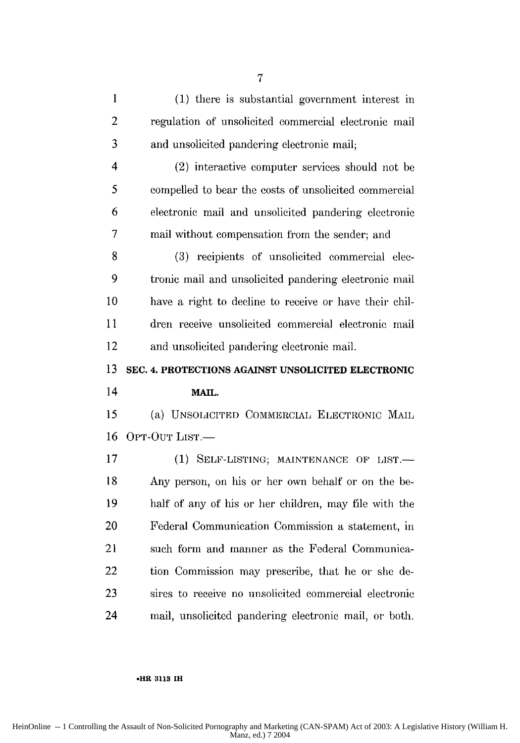1 (1) there is substantial government interest in 2 regulation of unsolicited commercial electronic mail 3 and unsolicited pandering electronic mail; 4 (2) interactive computer services should not be 5 compelled to bear the costs of unsolicited commercial 6 electronic mail and unsolicited pandering electronic 7 mail without compensation from the sender; and 8 (3) recipients of unsolicited commercial elec-9 tronic mail and unsolicited pandering electronic mail 10 have a right to decline to receive or have their chil**l1** dren receive unsolicited commercial electronic mail 12 and unsolicited pandering electronic mail. **13 SEC. 4. PROTECTIONS AGAINST UNSOLICITED ELECTRONIC** 14 **MAIL.** 15 (a) UNSOLICITED COMMERCIAL ELECTRONIC MAIL **16** OPT-OUT LIST.- 17 (1) SELF-LISTING; MAINTENANCE **OF** LIST.- 18 Any person, on his or her own behalf or on the be-19 half of any of his or her children, may file with the 20 Federal Communication Commission a statement, in 21 such form and manner as the Federal Communica-22 tion Commission may prescribe, that he or she de-23 sires to receive no unsolicited commercial electronic 24 mail, unsolicited pandering electronic mail, or both.

#### **\*HR 3113 1H**

 $\overline{7}$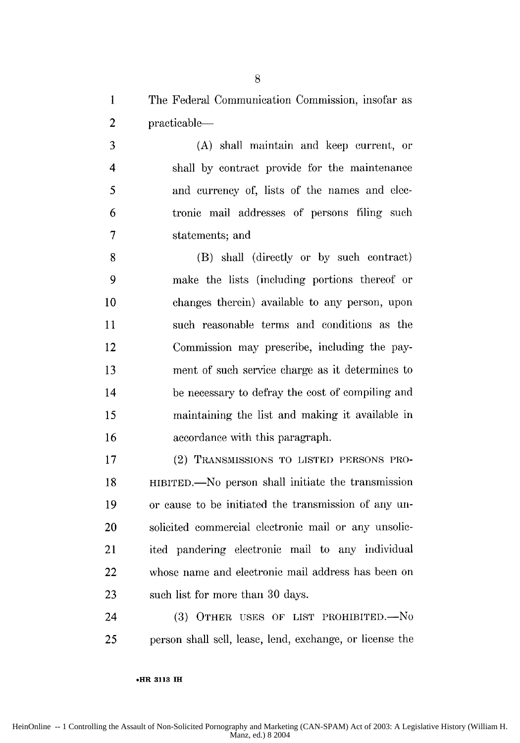1 The Federal Communication Commission, insofar as 2 practicable—

3 (A) shall maintain and keep current, or 4 shall **by** contract provide for the maintenance 5 and currency of, lists of the names and **elec-**6 tronic mail addresses of persons filing such 7 statements; and

8 (B) shall (directly or by such contract) 9 make the lists (including portions thereof or 10 changes therein) available to any person, upon 11 such reasonable terms and conditions as the 12 Commission may prescribe, including the pay-13 ment of such service charge as it determines to 14 be necessary to defray the cost of compiling and 15 maintaining the list and making it available in 16 accordance with this paragraph.

17 (2) TRANSMISSIONS TO LISTED PERSONS PRO-18 HIBITED.-No person shall initiate the transmission 19 or cause to be initiated the transmission of **any** un-20 solicited commercial electronic mail or any unsolic-21 ited pandering electronic mail to any individual 22 whose name and electronic mail address has been on 23 such list for more than 30 days.

24 (3) OTHER USES OF LIST PROHIBITED. No 25 person shall sell, lease, lend, exchange, or license the

**.HR 3113 IH**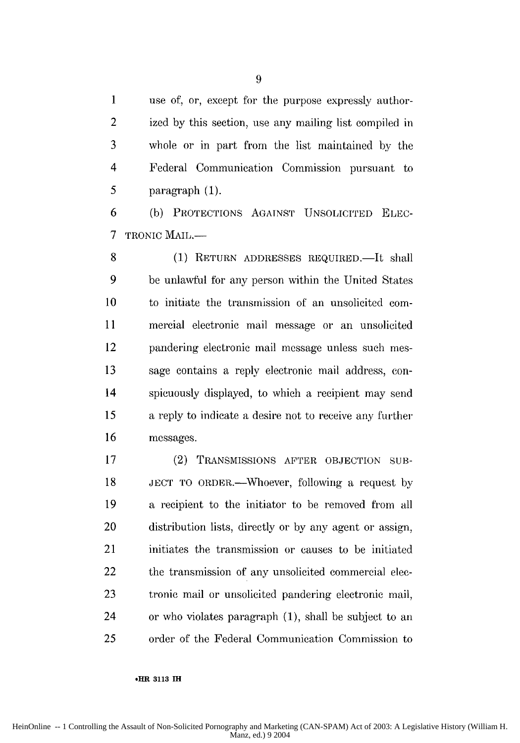1 use of, or, except for the purpose expressly author-2 ized by this section, use any mailing list compiled in 3 whole or in part from the list maintained by the 4 Federal Communication Commission pursuant to 5 paragraph (1).

6 (b) PROTECTIONs AGAINST UNSOLICITED ELEC-7 TRONIC MAIL.-

8 (1) RETURN ADDRESSES REQUIRED. It shall 9 be unlawful for any person within the United States **10** to initiate the transmission of an unsolicited com-11 mercial electronic mail message or an unsolicited 12 pandering electronic mail message unless such mes-13 sage contains a reply electronic mail address, con-14 spicuously displayed, to which a recipient may send 15 a reply to indicate a desire not to receive any further 16 messages.

17 (2) TRANSMISSIONS AFTER OBJECTION SUB-18 JECT TO ORDER.—Whoever, following a request by 19 a recipient to the initiator to be removed from all 20 distribution lists, directly or by any agent or assign, 21 initiates the transmission or causes to be initiated 22 the transmission of any unsolicited commercial elec-23 tronic mail or unsolicited pandering electronic mail, 24 or who violates paragraph (1), shall be subject to an 25 order of the Federal Communication Commission to

#### **.IR 3113 IH**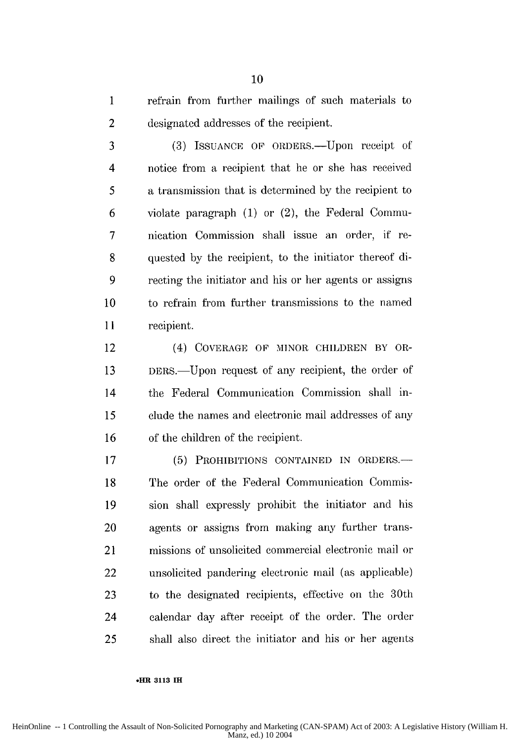1 refrain from further mailings of such materials to 2 designated addresses of the recipient.

3 (3) ISSUANCE OF ORDERS.—Upon receipt of 4 notice from a recipient that he or she has received 5 a transmission that is determined by the recipient to **6** violate paragraph (1) or (2), the Federal Commu-7 nication Commission shall issue an order, if re-8 quested by the recipient, to the initiator thereof di-9 recting the initiator and his or her agents or assigns 10 to refrain from further transmissions to the named 11 recipient.

12 (4) COVERAGE OF MINOR CHILDREN BY OR-13 DERS.-Upon request of any recipient, the order of 14 the Federal Communication Commission shall in-15 elude the names and electronic mail addresses of any 16 of the children of the recipient.

17 (5) PROHIBITIONS CONTAINED IN ORDERS. 18 The order of the Federal Communication Commis-19 sion shall expressly prohibit the initiator and his 20 agents or assigns from making any further trans-21 missions of unsolicited commercial electronic mail or 22 unsolicited pandering electronic mail (as applicable) 23 to the designated recipients, effective on the 30th 24 calendar day after receipt of the order. The order 25 shall also direct the initiator and his or her agents

#### **-HR 3113 1H**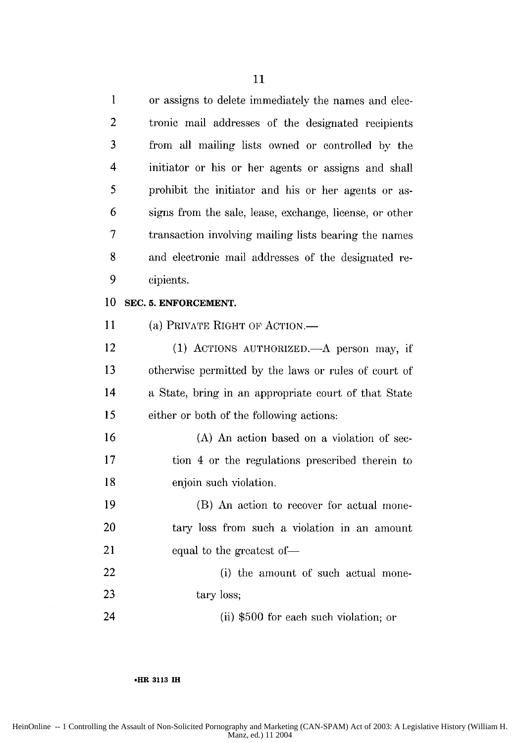| 1  | or assigns to delete immediately the names and elec-    |  |  |
|----|---------------------------------------------------------|--|--|
| 2  | tronic mail addresses of the designated recipients      |  |  |
| 3  | from all mailing lists owned or controlled by the       |  |  |
| 4  | initiator or his or her agents or assigns and shall     |  |  |
| 5  | prohibit the initiator and his or her agents or as-     |  |  |
| 6  | signs from the sale, lease, exchange, license, or other |  |  |
| 7  | transaction involving mailing lists bearing the names   |  |  |
| 8  | and electronic mail addresses of the designated re-     |  |  |
| 9  | cipients.                                               |  |  |
| 10 | SEC. 5. ENFORCEMENT.                                    |  |  |
| 11 | (a) PRIVATE RIGHT OF ACTION.—                           |  |  |
| 12 | (1) ACTIONS AUTHORIZED. A person may, if                |  |  |
| 13 | otherwise permitted by the laws or rules of court of    |  |  |
| 14 | a State, bring in an appropriate court of that State    |  |  |
| 15 | either or both of the following actions:                |  |  |
| 16 | (A) An action based on a violation of sec-              |  |  |
| 17 | tion 4 or the regulations prescribed therein to         |  |  |
| 18 | enjoin such violation.                                  |  |  |
| 19 | (B) An action to recover for actual mone-               |  |  |
| 20 | tary loss from such a violation in an amount            |  |  |
| 21 | equal to the greatest of-                               |  |  |
| 22 | (i) the amount of such actual mone-                     |  |  |
| 23 | tary loss;                                              |  |  |
| 24 | (ii) \$500 for each such violation; or                  |  |  |

### **-HR 3113 IH**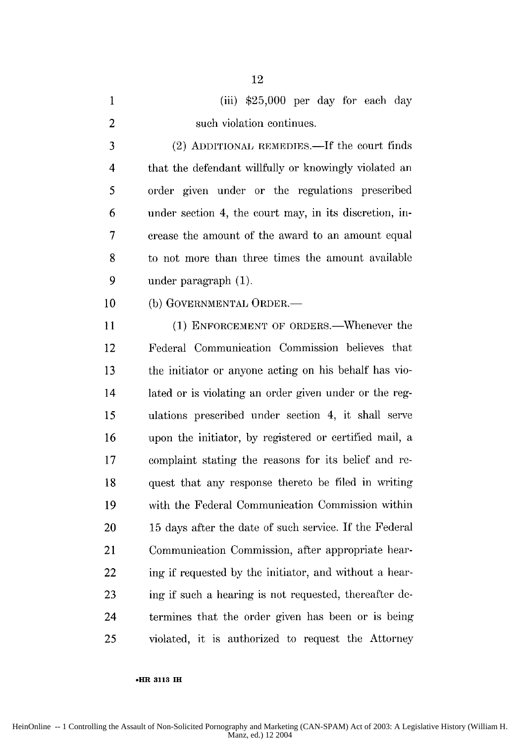| (iii) $$25,000$ per day for each day |  |
|--------------------------------------|--|
| such violation continues.            |  |

3 (2) ADDITIONAL REMEDIES.—If the court finds 4 that the defendant willfully or knowingly violated an 5 order given under or the regulations prescribed 6 under section 4, the court may, in its discretion, in-7 crease the amount of the award to an amount equal 8 to not more than three times the amount available 9 under paragraph (1).

10 (b) GOVERNMENTAL ORDER.—

11 (1) ENFORCEMENT OF ORDERS.—Whenever the 12 Federal Communication Commission believes that 13 the initiator or anyone acting on his behalf has vio-14 lated or is violating an order given under or the reg-15 ulations prescribed under section 4, it shall serve 16 upon the initiator, by registered or certified mail, a 17 complaint stating the reasons for its belief and re-18 quest that any response thereto be filed in writing 19 with the Federal Communication Commission within 20 15 days after the date of such service. If the Federal 21 Communication Commission, after appropriate hear-22 ing if requested by the initiator, and without a hear-23 ing if such a hearing is not requested, thereafter de-24 termines that the order given has been or is being 25 violated, it is authorized to request the Attorney

# -HR **3113 Ii**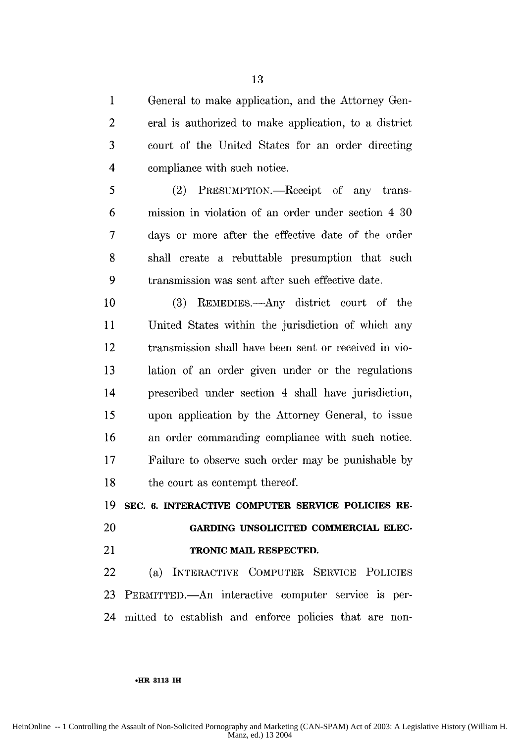1 General to make application, and the Attorney Gen-2 eral is authorized to make application, to a district 3 court of the United States for an order directing 4 compliance with such notice.

5 (2) PRESUMPTION.—Receipt of any trans-6 mission in violation of an order under section 4 30 7 days or more after the effective date of the order 8 shall create a rebuttable presumption that such 9 transmission was sent after such effective date.

10 (3) REMEDIES.—Any district court of the 11 United States within the jurisdiction of which any 12 transmission shall have been sent or received in vio-**13** lation of an order given under or the regulations 14 prescribed under section 4 shall have jurisdiction, 15 upon application by the Attorney General, to issue 16 an order commanding compliance with such notice. 17 Failure to observe such order may be punishable by 18 the court as contempt thereof.

**19 SEC. 6. INTERACTIVE COMPUTER SERVICE POLICIES RE-**

20 **GARDING UNSOLICITED COMMERCIAL ELEC-**21 **TRONIC MAIL RESPECTED.**

22 (a) INTERACTIVE COMPUTER SERVICE POLICIES 23 PERMITTED.-An interactive computer service is per-24 mitted to establish and enforce policies that are non-

#### **.HR 3113 IH**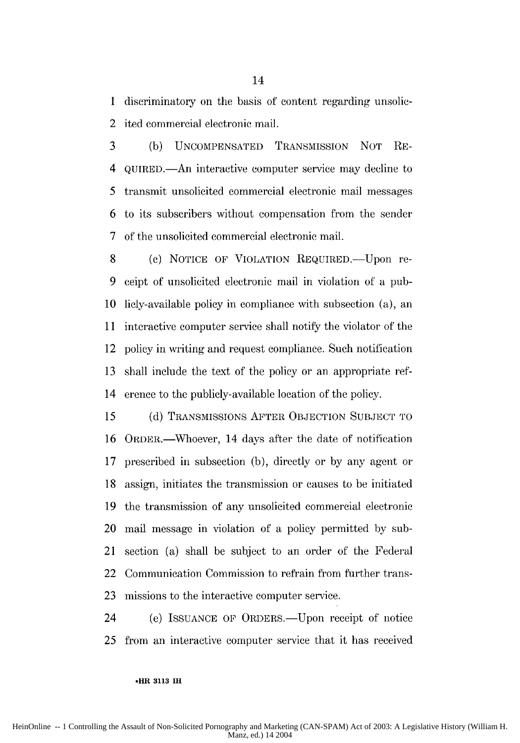**1** discriminatory on the basis of content regarding unsolic-2 ited commercial electronic mail.

3 (b) UNCOMPENSATED TRANSMISSION NOT RE-4 QUIRED.-An interactive computer service may decline to 5 transmit unsolicited commercial electronic mail messages 6 to its subscribers without compensation from the sender 7 of the unsolicited commercial electronic mail.

8 (c) NOTICE OF VIOLATION REQUIRED. Upon re-9 ceipt of unsolicited electronic mail in violation of a pub-10 liely-available policy in compliance with subsection (a), an 11 interactive computer service shall notify the violator of the 12 policy in writing and request compliance. Such notification 13 shall include the text of the policy or an appropriate ref-14 erenec to the publicly-available location of the policy.

15 (d) TRANSMISSIONS AFTER OBJECTION SUBJECT TO 16 ORDER.-Whoever, 14 days after the date of notification 17 prescribed in subsection (b), directly or by any agent or 18 assign, initiates the transmission or causes to be initiated 19 the transmission of any unsolicited commercial electronic 20 mail message in violation of a policy permitted by sub-21 section (a) shall be subject to an order of the Federal 22 Communication Commission to refrain from further trans-23 missions to the interactive computer service.

24 (e) ISSUANCE OF ORDERS.—Upon receipt of notice 25 from an interactive computer service that it has received

#### **-HR 3113 IH**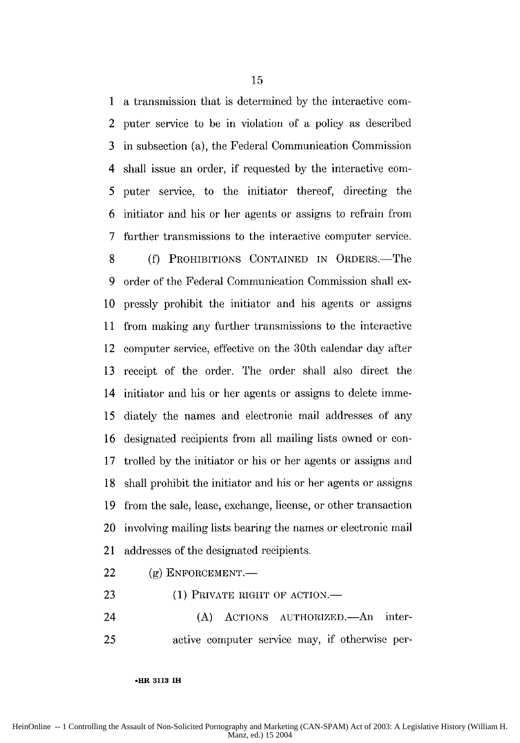1 a transmission that is determined by the interactive corn-2 puter service to be in violation of a policy as described **3** in subsection (a), the Federal Communication Commission 4 shall issue an order, if requested by the interactive com-**5** puter service, to the initiator thereof, directing the 6 initiator and his or her agents or assigns to refrain from 7 further transmissions to the interactive computer service.

8 (f) PROHIBITIONS CONTAINED IN ORDERS.—The 9 order of the Federal Communication Commission shall ex-10 pressly prohibit the initiator and his agents or assigns 11 from making any further transmissions to the interactive 12 computer service, effective on the 30th calendar day after 13 receipt of the order. The order shall also direct the 14 initiator and his or her agents or assigns to delete imme-15 diately the names and electronic mail addresses of any 16 designated recipients from all mailing lists owned or con-17 trolled by the initiator or his or her agents or assigns and 18 shall prohibit the initiator and his or her agents or assigns 19 from the sale, lease, exchange, license, or other transaction 20 involving mailing lists bearing the names or electronic mail 21 addresses of the designated recipients.

- 22  $(g)$  ENFORCEMENT.
- 23 (1) PRIVATE RIGHT OF ACTION.—
- 24 (A) ACTIONS AUTHORIZED.—An inter-25 active computer service may, if otherwise per-

#### **.HR 3113 IH**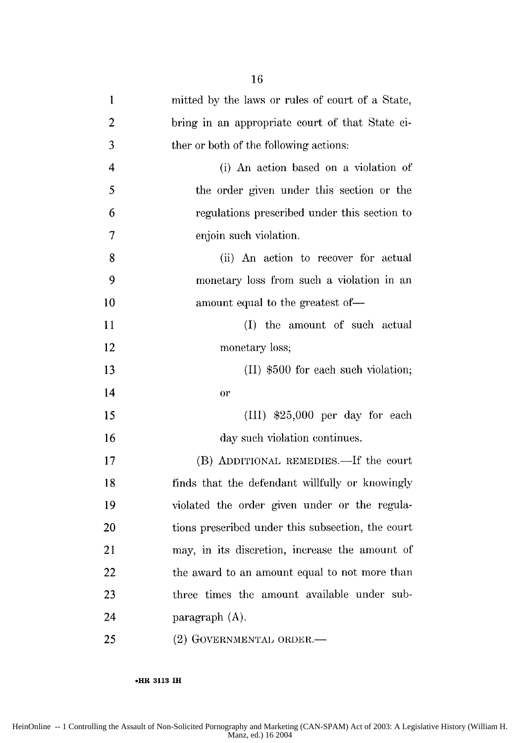| 1  | mitted by the laws or rules of court of a State,  |
|----|---------------------------------------------------|
| 2  | bring in an appropriate court of that State ei-   |
| 3  | ther or both of the following actions:            |
| 4  | (i) An action based on a violation of             |
| 5  | the order given under this section or the         |
| 6  | regulations prescribed under this section to      |
| 7  | enjoin such violation.                            |
| 8  | (ii) An action to recover for actual              |
| 9  | monetary loss from such a violation in an         |
| 10 | amount equal to the greatest of-                  |
| 11 | (I) the amount of such actual                     |
| 12 | monetary loss;                                    |
| 13 | (II) \$500 for each such violation;               |
| 14 | or                                                |
| 15 | $(III)$ \$25,000 per day for each                 |
| 16 | day such violation continues.                     |
| 17 | (B) ADDITIONAL REMEDIES.—If the court             |
| 18 | finds that the defendant willfully or knowingly   |
| 19 | violated the order given under or the regula-     |
| 20 | tions prescribed under this subsection, the court |
| 21 | may, in its discretion, increase the amount of    |
| 22 | the award to an amount equal to not more than     |
| 23 | three times the amount available under sub-       |
| 24 | paragraph (A).                                    |
| 25 | (2) GOVERNMENTAL ORDER.-                          |

**\*HR 3113 IH**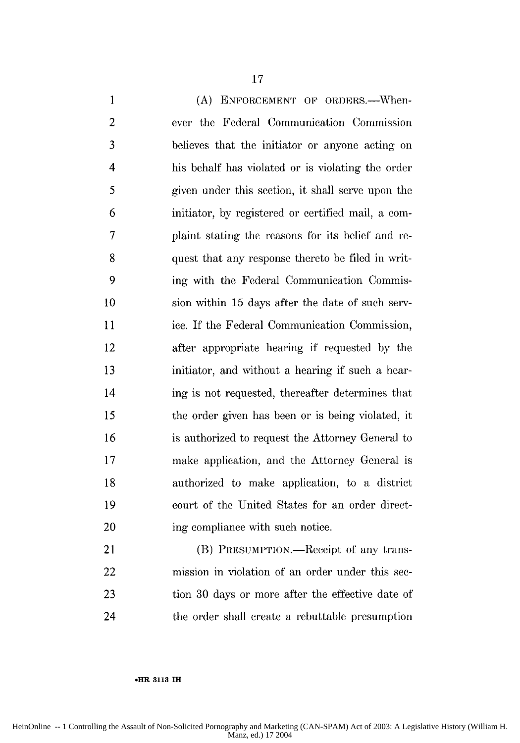1 (A) ENFORCEMENT OF ORDERS. When-2 ever the Federal Communication Commission 3 believes that the initiator or anyone acting on 4 his behalf has violated or is violating the order 5 given under this section, it shall serve upon the 6 initiator, by registered or certified mail, a com-7 plaint stating the reasons for its belief and re-8 quest that any response thereto be filed in writ-9 ing with the Federal Communication Commis-10 sion within 15 days after the date of such serv-11 ice. If the Federal Communication Commission, 12 after appropriate hearing if requested by the 13 initiator, and without a hearing if such a hear-14 ing is not requested, thereafter determines that 15 the order given has been or is being violated, it 16 is authorized to request the Attorney General to 17 make application, and the Attorney General is 18 authorized to make application, to a district 19 court of the United States for an order direct-20 ing compliance with such notice. 21 (B) PRESUMPTION.—Receipt of any trans-

22 mission in violation of an order under this sec-23 tion 30 days or more after the effective date of 24 the order shall create a rebuttable presumption

#### **.HR 3113 IH**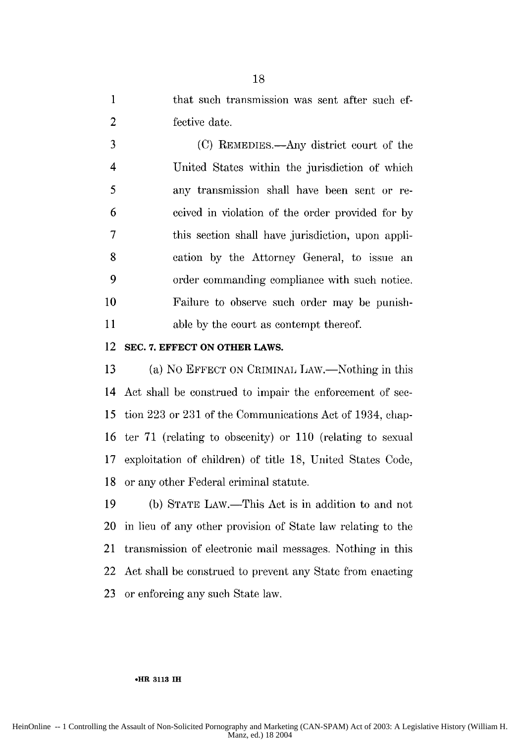|   |               | that such transmission was sent after such ef- |  |  |  |
|---|---------------|------------------------------------------------|--|--|--|
| 2 | fective date. |                                                |  |  |  |

3 (C) REMEDIES.-Any district court of the 4 United States within the jurisdiction of which 5 any transmission shall have been sent or re-6 ceived in violation of the order provided for by 7 this section shall have jurisdiction, upon appli-8 cation by the Attorney General, to issue an 9 order commanding compliance with such notice. 10 Failure to observe such order may be punish-11 able by the court as contempt thereof.

# 12 **SEC. 7. EFFECT ON OTHER LAWS.**

13 (a) NO EFFECT ON CRIMINAL LAW.—Nothing in this 14 Act shall be construed to impair the enforcement of sec-15 tion 223 or 231 of the Communications Act of 1934, chap-16 ter 71 (relating to obscenity) or 110 (relating to sexual 17 exploitation of children) of title 18, United States Code, 18 or any other Federal criminal statute.

19 (b) STATE LAW.—This Act is in addition to and not 20 in lieu of any other provision of State law relating to the 21 transmission of electronic mail messages. Nothing in this 22 Act shall be construed to prevent any State from enacting 23 or enforcing any such State law.

### ,HR **3113 IH**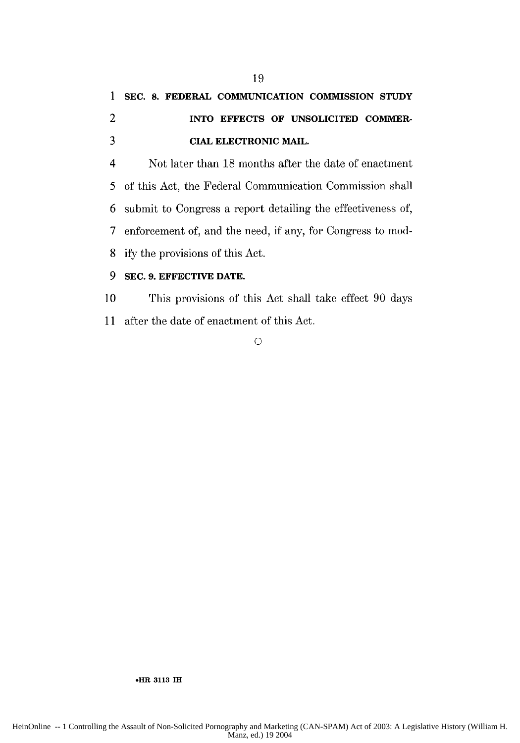|                | 1 SEC. 8. FEDERAL COMMUNICATION COMMISSION STUDY          |
|----------------|-----------------------------------------------------------|
| $\mathfrak{D}$ | INTO EFFECTS OF UNSOLICITED COMMER-                       |
| $\mathcal{R}$  | CIAL ELECTRONIC MAIL.                                     |
| $\overline{4}$ | Not later than 18 months after the date of enactment      |
|                | 5 of this Act, the Federal Communication Commission shall |

6 submit to Congress a report detailing the effectiveness of, 7 enforcement of, and the need, if any, for Congress to mod-

8 ify the provisions of this Act.

# **9 SEC. 9. EFFECTWE DATE.**

10 This provisions of this Act shall take effect 90 days 11 after the date of enactment of this Act.

**0**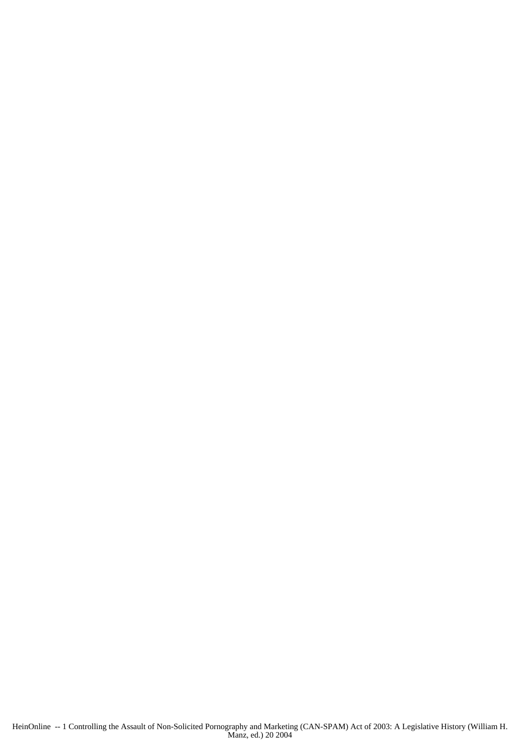HeinOnline -- 1 Controlling the Assault of Non-Solicited Pornography and Marketing (CAN-SPAM) Act of 2003: A Legislative History (William H. Manz, ed.) 20 2004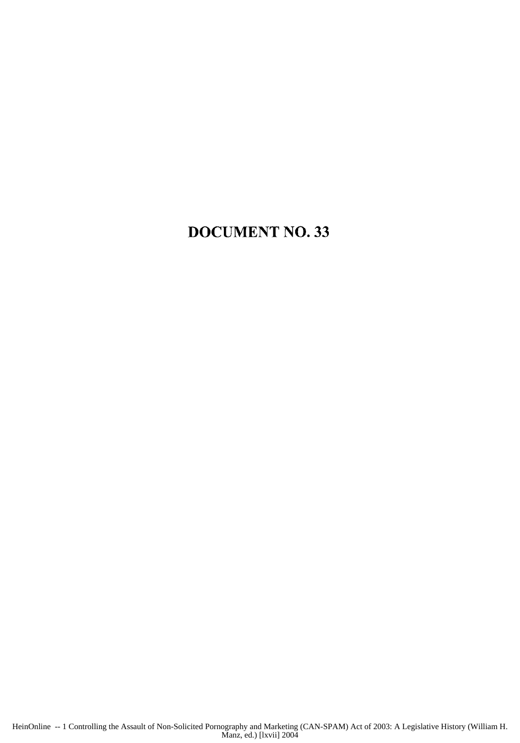# **DOCUMENT NO. 33**